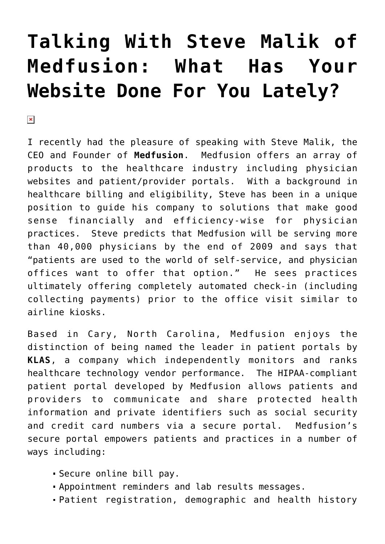## **[Talking With Steve Malik of](https://managemypractice.com/talking-with-steve-malik-of-medfusion-what-has-your-website-done-for-you-lately/) [Medfusion: What Has Your](https://managemypractice.com/talking-with-steve-malik-of-medfusion-what-has-your-website-done-for-you-lately/) [Website Done For You Lately?](https://managemypractice.com/talking-with-steve-malik-of-medfusion-what-has-your-website-done-for-you-lately/)**

 $\pmb{\times}$ 

I recently had the pleasure of speaking with Steve Malik, the CEO and Founder of **[Medfusion](http://www.medfusion.net)**. Medfusion offers an array of products to the healthcare industry including physician websites and patient/provider portals. With a background in healthcare billing and eligibility, Steve has been in a unique position to guide his company to solutions that make good sense financially and efficiency-wise for physician practices. Steve predicts that Medfusion will be serving more than 40,000 physicians by the end of 2009 and says that "patients are used to the world of self-service, and physician offices want to offer that option." He sees practices ultimately offering completely automated check-in (including collecting payments) prior to the office visit similar to airline kiosks.

Based in Cary, North Carolina, Medfusion enjoys the distinction of being named the leader in patient portals by **KLAS**, a company which independently monitors and ranks healthcare technology vendor performance. The HIPAA-compliant patient portal developed by Medfusion allows patients and providers to communicate and share protected health information and private identifiers such as social security and credit card numbers via a secure portal. Medfusion's secure portal empowers patients and practices in a number of ways including:

- Secure online bill pay.
- Appointment reminders and lab results messages.
- Patient registration, demographic and health history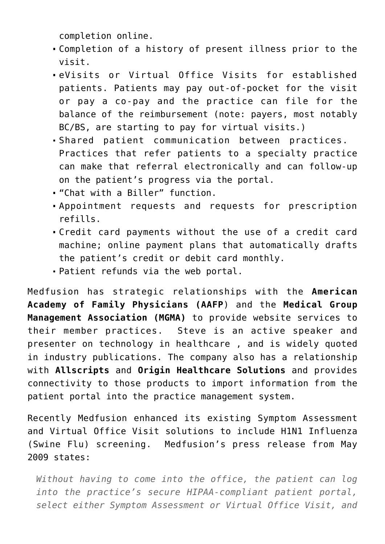completion online.

- Completion of a history of present illness prior to the visit.
- eVisits or Virtual Office Visits for established patients. Patients may pay out-of-pocket for the visit or pay a co-pay and the practice can file for the balance of the reimbursement (note: payers, most notably BC/BS, are starting to pay for virtual visits.)
- Shared patient communication between practices. Practices that refer patients to a specialty practice can make that referral electronically and can follow-up on the patient's progress via the portal.
- "Chat with a Biller" function.
- Appointment requests and requests for prescription refills.
- Credit card payments without the use of a credit card machine; online payment plans that automatically drafts the patient's credit or debit card monthly.
- Patient refunds via the web portal.

Medfusion has strategic relationships with the **[American](http://www.aafp.org) [Academy of Family Physicians \(AAFP](http://www.aafp.org)**[\)](http://www.aafp.org) and the **[Medical Group](http://www.mgma.com) [Management Association \(MGMA\)](http://www.mgma.com)** to provide website services to their member practices. Steve is an active speaker and presenter on technology in healthcare , and is widely quoted in industry publications. The company also has a relationship with **[Allscripts](http://www.allscripts.com)** and **[Origin Healthcare Solutions](http://www.originhs.com)** and provides connectivity to those products to import information from the patient portal into the practice management system.

Recently Medfusion enhanced its existing Symptom Assessment and Virtual Office Visit solutions to include H1N1 Influenza (Swine Flu) screening. Medfusion's press release from May 2009 states:

*Without having to come into the office, the patient can log into the practice's secure HIPAA-compliant patient portal, select either Symptom Assessment or Virtual Office Visit, and*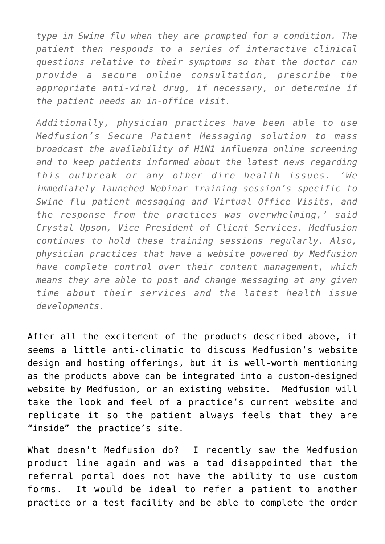*type in Swine flu when they are prompted for a condition. The patient then responds to a series of interactive clinical questions relative to their symptoms so that the doctor can provide a secure online consultation, prescribe the appropriate anti-viral drug, if necessary, or determine if the patient needs an in-office visit.*

*Additionally, physician practices have been able to use Medfusion's Secure Patient Messaging solution to mass broadcast the availability of H1N1 influenza online screening and to keep patients informed about the latest news regarding this outbreak or any other dire health issues. 'We immediately launched Webinar training session's specific to Swine flu patient messaging and Virtual Office Visits, and the response from the practices was overwhelming,' said Crystal Upson, Vice President of Client Services. Medfusion continues to hold these training sessions regularly. Also, physician practices that have a website powered by Medfusion have complete control over their content management, which means they are able to post and change messaging at any given time about their services and the latest health issue developments.*

After all the excitement of the products described above, it seems a little anti-climatic to discuss Medfusion's website design and hosting offerings, but it is well-worth mentioning as the products above can be integrated into a custom-designed website by Medfusion, or an existing website. Medfusion will take the look and feel of a practice's current website and replicate it so the patient always feels that they are "inside" the practice's site.

What doesn't Medfusion do? I recently saw the Medfusion product line again and was a tad disappointed that the referral portal does not have the ability to use custom forms. It would be ideal to refer a patient to another practice or a test facility and be able to complete the order